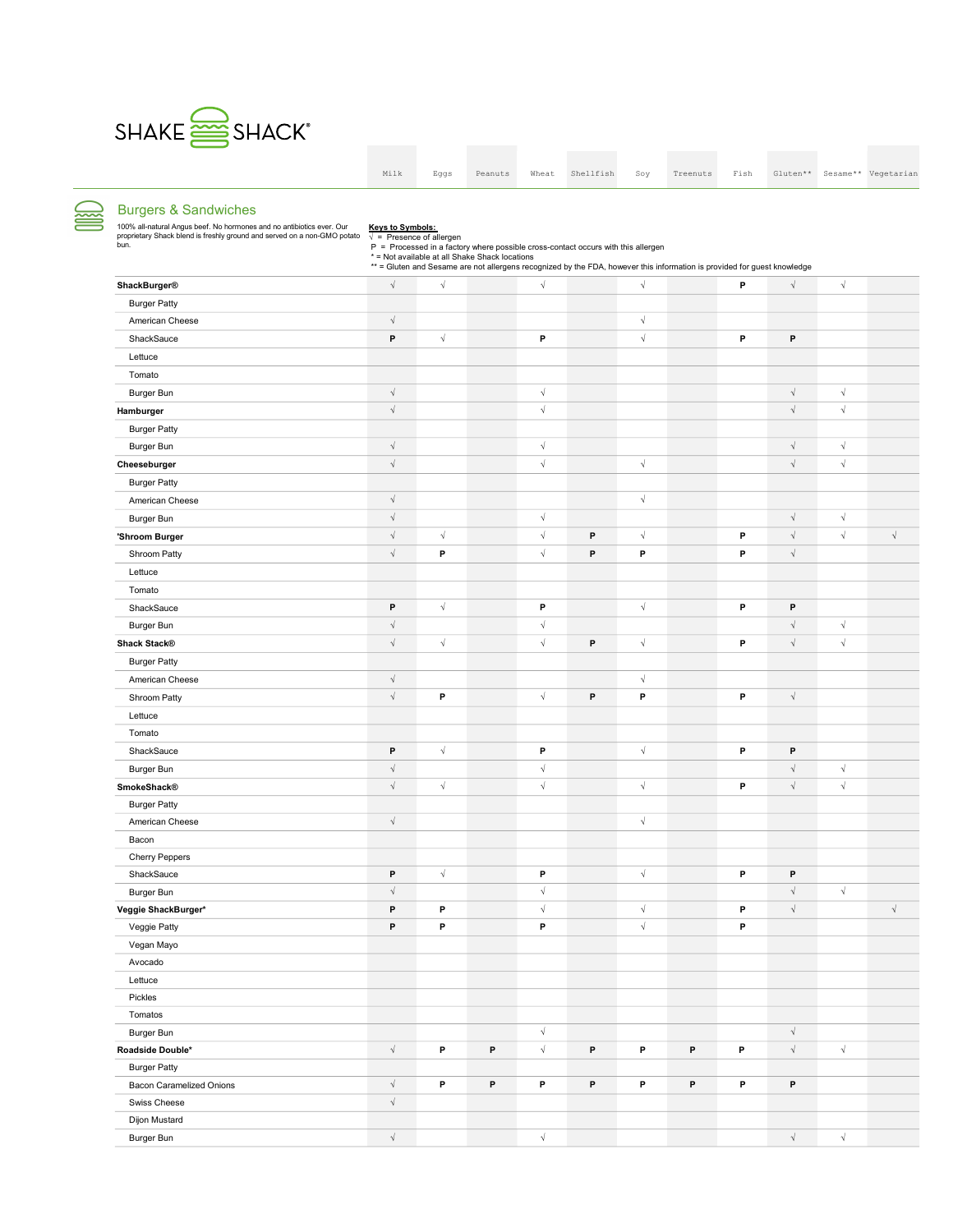

S

Burger Patty

Dijon Mustard

Swiss Cheese √

|                                                                                                                                                           | Milk                                                         | Eggs                 | Peanuts                                        | Wheat      | Shellfish                                                                                                                                                                                                     | Soy                  | Treenuts | Fish | Gluten**             |            | Sesame** Vegetarian |
|-----------------------------------------------------------------------------------------------------------------------------------------------------------|--------------------------------------------------------------|----------------------|------------------------------------------------|------------|---------------------------------------------------------------------------------------------------------------------------------------------------------------------------------------------------------------|----------------------|----------|------|----------------------|------------|---------------------|
|                                                                                                                                                           |                                                              |                      |                                                |            |                                                                                                                                                                                                               |                      |          |      |                      |            |                     |
| <b>Burgers &amp; Sandwiches</b>                                                                                                                           |                                                              |                      |                                                |            |                                                                                                                                                                                                               |                      |          |      |                      |            |                     |
| 100% all-natural Angus beef. No hormones and no antibiotics ever. Our<br>proprietary Shack blend is freshly ground and served on a non-GMO potato<br>bun. | <b>Keys to Symbols:</b><br>$\sqrt{ }$ = Presence of allergen |                      | * = Not available at all Shake Shack locations |            | P = Processed in a factory where possible cross-contact occurs with this allergen<br>** = Gluten and Sesame are not allergens recognized by the FDA, however this information is provided for guest knowledge |                      |          |      |                      |            |                     |
| <b>ShackBurger®</b>                                                                                                                                       | $\sqrt{ }$                                                   | $\sqrt{ }$           |                                                | $\sqrt{}$  |                                                                                                                                                                                                               | $\sqrt{\phantom{a}}$ |          | P    | $\sqrt{\phantom{a}}$ | $\sqrt{ }$ |                     |
| <b>Burger Patty</b>                                                                                                                                       |                                                              |                      |                                                |            |                                                                                                                                                                                                               |                      |          |      |                      |            |                     |
| American Cheese                                                                                                                                           | $\sqrt{}$                                                    |                      |                                                |            |                                                                                                                                                                                                               | $\sqrt{\phantom{a}}$ |          |      |                      |            |                     |
| ShackSauce                                                                                                                                                | P                                                            | $\sqrt{\phantom{a}}$ |                                                | P          |                                                                                                                                                                                                               | $\sqrt{\phantom{a}}$ |          | P    | P                    |            |                     |
| Lettuce                                                                                                                                                   |                                                              |                      |                                                |            |                                                                                                                                                                                                               |                      |          |      |                      |            |                     |
| Tomato                                                                                                                                                    |                                                              |                      |                                                |            |                                                                                                                                                                                                               |                      |          |      |                      |            |                     |
| <b>Burger Bun</b>                                                                                                                                         | $\sqrt{ }$                                                   |                      |                                                | $\sqrt{}$  |                                                                                                                                                                                                               |                      |          |      | $\sqrt{}$            | $\sqrt{ }$ |                     |
| Hamburger                                                                                                                                                 | $\sqrt{ }$                                                   |                      |                                                | $\sqrt{ }$ |                                                                                                                                                                                                               |                      |          |      | $\sqrt{ }$           | $\sqrt{ }$ |                     |
| <b>Burger Patty</b>                                                                                                                                       |                                                              |                      |                                                |            |                                                                                                                                                                                                               |                      |          |      |                      |            |                     |
| <b>Burger Bun</b>                                                                                                                                         | $\sqrt{}$                                                    |                      |                                                | $\sqrt{}$  |                                                                                                                                                                                                               |                      |          |      | $\sqrt{ }$           | $\sqrt{}$  |                     |
| Cheeseburger                                                                                                                                              | $\sqrt{}$                                                    |                      |                                                | $\sqrt{}$  |                                                                                                                                                                                                               | $\sqrt{\phantom{a}}$ |          |      | $\sqrt{ }$           | $\sqrt{ }$ |                     |
| <b>Burger Patty</b>                                                                                                                                       |                                                              |                      |                                                |            |                                                                                                                                                                                                               |                      |          |      |                      |            |                     |
| American Cheese                                                                                                                                           | $\sqrt{}$                                                    |                      |                                                |            |                                                                                                                                                                                                               | $\sqrt{\phantom{a}}$ |          |      |                      |            |                     |
| <b>Burger Bun</b>                                                                                                                                         | $\sqrt{ }$                                                   |                      |                                                | $\sqrt{ }$ |                                                                                                                                                                                                               |                      |          |      | $\sqrt{\phantom{a}}$ | $\sqrt{ }$ |                     |
| 'Shroom Burger                                                                                                                                            | $\sqrt{ }$                                                   | $\sqrt{}$            |                                                | $\sqrt{}$  | P                                                                                                                                                                                                             | $\sqrt{\phantom{a}}$ |          | P    | $\sqrt{ }$           | $\sqrt{ }$ | $\sqrt{}$           |
| Shroom Patty                                                                                                                                              | $\sqrt{}$                                                    | P                    |                                                | $\sqrt{}$  | P                                                                                                                                                                                                             | P                    |          | P    | $\sqrt{ }$           |            |                     |
| Lettuce                                                                                                                                                   |                                                              |                      |                                                |            |                                                                                                                                                                                                               |                      |          |      |                      |            |                     |
| Tomato                                                                                                                                                    |                                                              |                      |                                                |            |                                                                                                                                                                                                               |                      |          |      |                      |            |                     |
| ShackSauce                                                                                                                                                | P                                                            | $\sqrt{\phantom{a}}$ |                                                | P          |                                                                                                                                                                                                               | $\sqrt{\phantom{a}}$ |          | P    | P                    |            |                     |
| <b>Burger Bun</b>                                                                                                                                         | $\sqrt{}$                                                    |                      |                                                | $\sqrt{ }$ |                                                                                                                                                                                                               |                      |          |      | $\sqrt{ }$           | $\sqrt{ }$ |                     |
| <b>Shack Stack®</b>                                                                                                                                       | $\sqrt{ }$                                                   | $\sqrt{\phantom{a}}$ |                                                | $\sqrt{ }$ | P                                                                                                                                                                                                             | $\sqrt{\phantom{a}}$ |          | P    | $\sqrt{ }$           | $\sqrt{ }$ |                     |
| <b>Burger Patty</b>                                                                                                                                       |                                                              |                      |                                                |            |                                                                                                                                                                                                               |                      |          |      |                      |            |                     |
| American Cheese                                                                                                                                           | $\sqrt{ }$                                                   |                      |                                                |            |                                                                                                                                                                                                               | $\sqrt{ }$           |          |      |                      |            |                     |
| Shroom Patty                                                                                                                                              | $\sqrt{}$                                                    | P                    |                                                | $\sqrt{}$  | P                                                                                                                                                                                                             | P                    |          | P    | $\sqrt{ }$           |            |                     |
| Lettuce                                                                                                                                                   |                                                              |                      |                                                |            |                                                                                                                                                                                                               |                      |          |      |                      |            |                     |
| Tomato                                                                                                                                                    |                                                              |                      |                                                |            |                                                                                                                                                                                                               |                      |          |      |                      |            |                     |
| ShackSauce                                                                                                                                                | P                                                            | $\sqrt{\phantom{a}}$ |                                                | P          |                                                                                                                                                                                                               | $\sqrt{\phantom{a}}$ |          | P    | P                    |            |                     |
| Burger Bun                                                                                                                                                | $\sqrt{ }$                                                   |                      |                                                | $\sqrt{}$  |                                                                                                                                                                                                               |                      |          |      | $\sqrt{ }$           | $\sqrt{}$  |                     |
| <b>SmokeShack®</b>                                                                                                                                        | $\sqrt{}$                                                    | $\sqrt{\phantom{a}}$ |                                                | $\sqrt{ }$ |                                                                                                                                                                                                               | $\sqrt{\phantom{a}}$ |          | P    | $\sqrt{ }$           | $\sqrt{ }$ |                     |
| <b>Burger Patty</b>                                                                                                                                       |                                                              |                      |                                                |            |                                                                                                                                                                                                               |                      |          |      |                      |            |                     |
| American Cheese                                                                                                                                           | $\sqrt{\phantom{a}}$                                         |                      |                                                |            |                                                                                                                                                                                                               | $\sqrt{\phantom{a}}$ |          |      |                      |            |                     |
| Bacon                                                                                                                                                     |                                                              |                      |                                                |            |                                                                                                                                                                                                               |                      |          |      |                      |            |                     |
| Cherry Peppers                                                                                                                                            |                                                              |                      |                                                |            |                                                                                                                                                                                                               |                      |          |      |                      |            |                     |
| ShackSauce                                                                                                                                                | P                                                            | $\sqrt{ }$           |                                                | P          |                                                                                                                                                                                                               | $\sqrt{}$            |          | P    | P                    |            |                     |
| Burger Bun                                                                                                                                                | $\sqrt{}$                                                    |                      |                                                | $\sqrt{ }$ |                                                                                                                                                                                                               |                      |          |      | $\sqrt{\phantom{a}}$ | $\sqrt{ }$ |                     |
| Veggie ShackBurger*                                                                                                                                       | P                                                            | P                    |                                                | $\sqrt{ }$ |                                                                                                                                                                                                               | $\sqrt{\phantom{a}}$ |          | P    | $\sqrt{}$            |            | $\sqrt{ }$          |
| Veggie Patty                                                                                                                                              | P                                                            | P                    |                                                | P          |                                                                                                                                                                                                               | $\sqrt{\phantom{a}}$ |          | P    |                      |            |                     |
| Vegan Mayo                                                                                                                                                |                                                              |                      |                                                |            |                                                                                                                                                                                                               |                      |          |      |                      |            |                     |
| Avocado                                                                                                                                                   |                                                              |                      |                                                |            |                                                                                                                                                                                                               |                      |          |      |                      |            |                     |
| Lettuce                                                                                                                                                   |                                                              |                      |                                                |            |                                                                                                                                                                                                               |                      |          |      |                      |            |                     |
| Pickles                                                                                                                                                   |                                                              |                      |                                                |            |                                                                                                                                                                                                               |                      |          |      |                      |            |                     |
| Tomatos                                                                                                                                                   |                                                              |                      |                                                |            |                                                                                                                                                                                                               |                      |          |      |                      |            |                     |
| Burger Bun                                                                                                                                                |                                                              |                      |                                                | $\sqrt{}$  |                                                                                                                                                                                                               |                      |          |      | $\sqrt{}$            |            |                     |

Roadside Double\* √ P P √ P P P <sup>√</sup> P <sup>P</sup> <sup>/</sup> <sup>/</sup>

Burger Bun √ √ √ √

Bacon Caramelized Onions 
→ P P P P P P P P P P P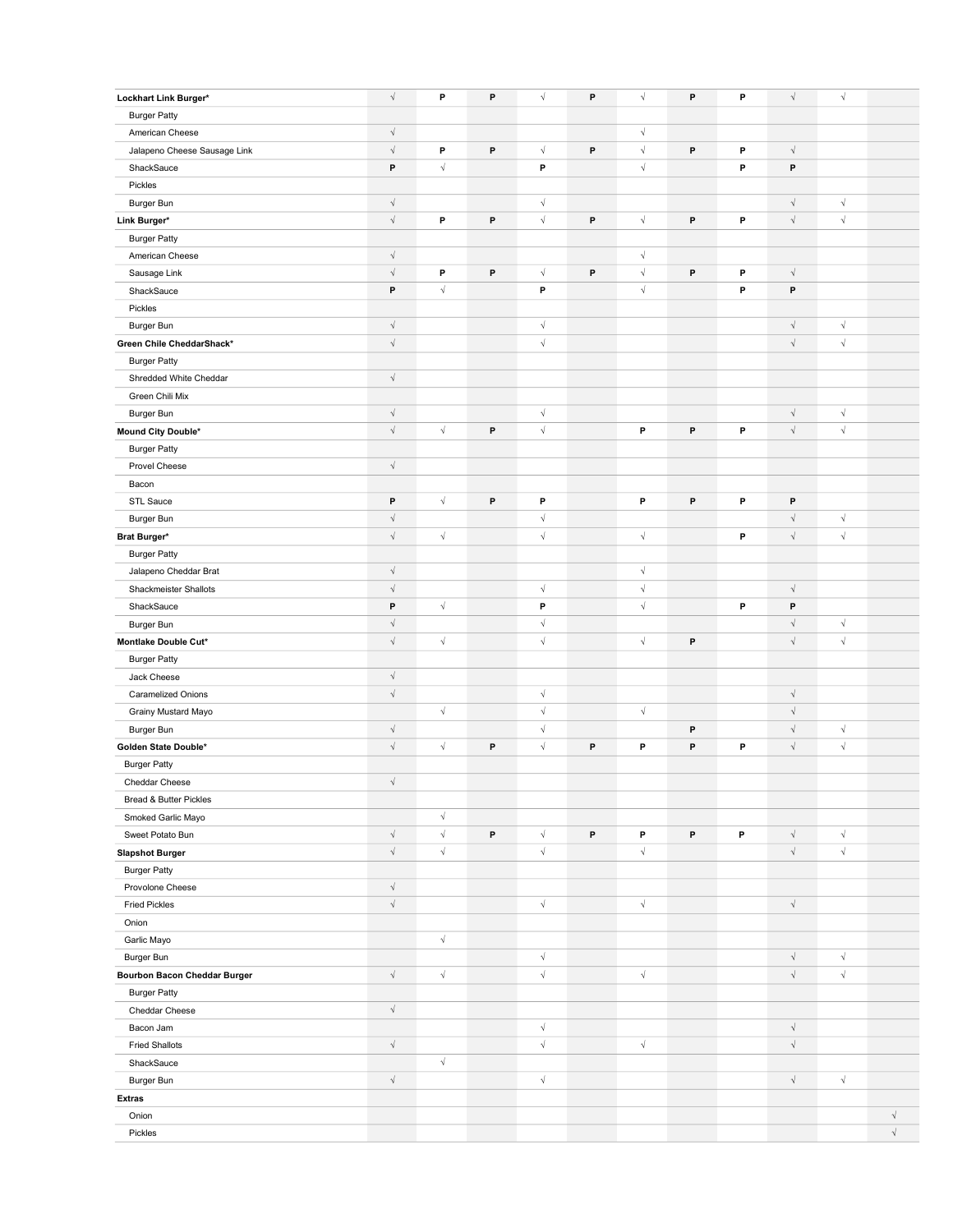| Lockhart Link Burger*                        | $\sqrt{\phantom{a}}$ | P                    | $\, {\bf P}$ | $\sqrt{\phantom{a}}$ | P           | $\sqrt{\phantom{a}}$ | P | P | $\sqrt{ }$           | $\sqrt{ }$           |           |
|----------------------------------------------|----------------------|----------------------|--------------|----------------------|-------------|----------------------|---|---|----------------------|----------------------|-----------|
| <b>Burger Patty</b>                          |                      |                      |              |                      |             |                      |   |   |                      |                      |           |
| American Cheese                              | $\sqrt{\phantom{a}}$ |                      |              |                      |             | $\sqrt{}$            |   |   |                      |                      |           |
| Jalapeno Cheese Sausage Link                 | $\sqrt{ }$           | P                    | P            | $\sqrt{ }$           | $\mathsf P$ | $\sqrt{}$            | P | P | $\sqrt{ }$           |                      |           |
| ShackSauce                                   | P                    | $\sqrt{\phantom{a}}$ |              | P                    |             | $\sqrt{}$            |   | P | P                    |                      |           |
| Pickles                                      |                      |                      |              |                      |             |                      |   |   |                      |                      |           |
| Burger Bun                                   | $\sqrt{ }$           |                      |              | $\sqrt{\phantom{a}}$ |             |                      |   |   | $\sqrt{ }$           | $\sqrt{\phantom{a}}$ |           |
| Link Burger*                                 | $\sqrt{ }$           | P                    | $\mathsf{P}$ | $\sqrt{\phantom{a}}$ | P           | $\sqrt{ }$           | P | P | $\sqrt{ }$           | $\sqrt{}$            |           |
| <b>Burger Patty</b>                          |                      |                      |              |                      |             |                      |   |   |                      |                      |           |
| American Cheese                              | $\sqrt{ }$           |                      |              |                      |             | $\sqrt{}$            |   |   |                      |                      |           |
| Sausage Link                                 | $\sqrt{ }$           | P                    | P            | $\sqrt{\phantom{a}}$ | P           | $\sqrt{\phantom{a}}$ | P | P | $\sqrt{ }$           |                      |           |
| ShackSauce                                   | P                    | $\sqrt{\phantom{a}}$ |              | P                    |             | $\sqrt{\phantom{a}}$ |   | P | P                    |                      |           |
| Pickles                                      |                      |                      |              |                      |             |                      |   |   |                      |                      |           |
| Burger Bun                                   | $\sqrt{ }$           |                      |              | $\sqrt{\phantom{a}}$ |             |                      |   |   | $\sqrt{\phantom{a}}$ | $\sqrt{ }$           |           |
| Green Chile CheddarShack*                    | $\sqrt{ }$           |                      |              | $\sqrt{\phantom{a}}$ |             |                      |   |   | $\sqrt{\phantom{a}}$ | $\sqrt{ }$           |           |
| <b>Burger Patty</b>                          |                      |                      |              |                      |             |                      |   |   |                      |                      |           |
| Shredded White Cheddar                       | $\sqrt{\phantom{a}}$ |                      |              |                      |             |                      |   |   |                      |                      |           |
| Green Chili Mix                              |                      |                      |              |                      |             |                      |   |   |                      |                      |           |
| Burger Bun                                   | $\sqrt{ }$           |                      |              | $\sqrt{}$            |             |                      |   |   | $\sqrt{\phantom{a}}$ | $\sqrt{}$            |           |
| Mound City Double*                           | $\sqrt{ }$           | $\sqrt{}$            | P            | $\sqrt{\phantom{a}}$ |             | P                    | P | P | $\sqrt{ }$           | $\sqrt{ }$           |           |
| <b>Burger Patty</b>                          |                      |                      |              |                      |             |                      |   |   |                      |                      |           |
| Provel Cheese                                | $\sqrt{ }$           |                      |              |                      |             |                      |   |   |                      |                      |           |
| Bacon                                        |                      |                      |              |                      |             |                      |   |   |                      |                      |           |
| STL Sauce                                    | P                    | $\sqrt{\phantom{a}}$ | P            | P                    |             | P                    | P | P | P                    |                      |           |
| Burger Bun                                   | $\sqrt{ }$           |                      |              | $\sqrt{}$            |             |                      |   |   | $\sqrt{ }$           | $\sqrt{}$            |           |
| Brat Burger*                                 | $\sqrt{\phantom{a}}$ | $\sqrt{\phantom{a}}$ |              | $\sqrt{\phantom{a}}$ |             | $\sqrt{\phantom{a}}$ |   | P | $\sqrt{ }$           | $\sqrt{\phantom{a}}$ |           |
|                                              |                      |                      |              |                      |             |                      |   |   |                      |                      |           |
| <b>Burger Patty</b><br>Jalapeno Cheddar Brat | $\sqrt{\phantom{a}}$ |                      |              |                      |             | $\sqrt{\phantom{a}}$ |   |   |                      |                      |           |
| Shackmeister Shallots                        | $\sqrt{ }$           |                      |              | $\sqrt{ }$           |             | $\sqrt{ }$           |   |   | $\sqrt{}$            |                      |           |
| ShackSauce                                   | P                    | $\sqrt{\phantom{a}}$ |              | P                    |             | $\sqrt{\phantom{a}}$ |   | P | P                    |                      |           |
|                                              | $\sqrt{ }$           |                      |              | $\sqrt{\phantom{a}}$ |             |                      |   |   | $\sqrt{ }$           | $\sqrt{\phantom{a}}$ |           |
| Burger Bun<br>Montlake Double Cut*           | $\sqrt{ }$           | $\sqrt{\phantom{a}}$ |              | $\sqrt{\phantom{a}}$ |             | $\sqrt{\phantom{a}}$ | P |   | $\sqrt{ }$           | $\sqrt{ }$           |           |
|                                              |                      |                      |              |                      |             |                      |   |   |                      |                      |           |
| <b>Burger Patty</b>                          | $\sqrt{ }$           |                      |              |                      |             |                      |   |   |                      |                      |           |
| Jack Cheese<br>Caramelized Onions            | $\sqrt{ }$           |                      |              | $\sqrt{\phantom{a}}$ |             |                      |   |   | $\sqrt{\phantom{a}}$ |                      |           |
|                                              |                      | $\sqrt{\phantom{a}}$ |              | $\sqrt{\phantom{a}}$ |             | $\sqrt{}$            |   |   | $\sqrt{ }$           |                      |           |
| Grainy Mustard Mayo                          | $\sqrt{\phantom{a}}$ |                      |              | $\sqrt{}$            |             |                      | P |   | $\sqrt{ }$           | $\sqrt{ }$           |           |
| Burger Bun                                   | $\sqrt{ }$           | $\sqrt{\phantom{a}}$ | $\, {\bf P}$ | $\sqrt{\phantom{a}}$ | P           | P                    | P | P | $\sqrt{ }$           | $\sqrt{ }$           |           |
| Golden State Double*                         |                      |                      |              |                      |             |                      |   |   |                      |                      |           |
| <b>Burger Patty</b>                          | $\sqrt{\phantom{a}}$ |                      |              |                      |             |                      |   |   |                      |                      |           |
| Cheddar Cheese                               |                      |                      |              |                      |             |                      |   |   |                      |                      |           |
| Bread & Butter Pickles                       |                      | $\sqrt{\phantom{a}}$ |              |                      |             |                      |   |   |                      |                      |           |
| Smoked Garlic Mayo                           | $\sqrt{\phantom{a}}$ | $\sqrt{\phantom{a}}$ | P            | $\sqrt{\phantom{a}}$ | P           | P                    | P | P | $\sqrt{\phantom{a}}$ | $\sqrt{\phantom{a}}$ |           |
| Sweet Potato Bun                             | $\sqrt{ }$           | $\sqrt{\phantom{a}}$ |              | $\sqrt{\phantom{a}}$ |             | $\sqrt{}$            |   |   | $\sqrt{\phantom{a}}$ | $\sqrt{}$            |           |
| <b>Slapshot Burger</b>                       |                      |                      |              |                      |             |                      |   |   |                      |                      |           |
| <b>Burger Patty</b>                          | $\sqrt{ }$           |                      |              |                      |             |                      |   |   |                      |                      |           |
| Provolone Cheese                             | $\sqrt{ }$           |                      |              | $\sqrt{}$            |             | $\sqrt{}$            |   |   | $\sqrt{ }$           |                      |           |
| <b>Fried Pickles</b>                         |                      |                      |              |                      |             |                      |   |   |                      |                      |           |
| Onion                                        |                      | $\sqrt{\phantom{a}}$ |              |                      |             |                      |   |   |                      |                      |           |
| Garlic Mayo                                  |                      |                      |              | $\sqrt{}$            |             |                      |   |   | $\sqrt{ }$           | $\sqrt{ }$           |           |
| Burger Bun                                   | $\sqrt{\phantom{a}}$ | $\sqrt{\phantom{a}}$ |              | $\sqrt{\phantom{a}}$ |             | $\sqrt{}$            |   |   | $\sqrt{ }$           | $\sqrt{ }$           |           |
| <b>Bourbon Bacon Cheddar Burger</b>          |                      |                      |              |                      |             |                      |   |   |                      |                      |           |
| <b>Burger Patty</b>                          | $\sqrt{ }$           |                      |              |                      |             |                      |   |   |                      |                      |           |
| Cheddar Cheese                               |                      |                      |              | $\sqrt{}$            |             |                      |   |   | $\sqrt{\phantom{a}}$ |                      |           |
| Bacon Jam                                    | $\sqrt{ }$           |                      |              | $\sqrt{\phantom{a}}$ |             |                      |   |   | $\sqrt{ }$           |                      |           |
| <b>Fried Shallots</b>                        |                      |                      |              |                      |             | $\sqrt{}$            |   |   |                      |                      |           |
| ShackSauce                                   |                      | $\sqrt{\phantom{a}}$ |              |                      |             |                      |   |   |                      |                      |           |
| Burger Bun                                   | $\sqrt{ }$           |                      |              | $\sqrt{\phantom{a}}$ |             |                      |   |   | $\sqrt{\phantom{a}}$ | $\sqrt{\phantom{a}}$ |           |
| <b>Extras</b>                                |                      |                      |              |                      |             |                      |   |   |                      |                      |           |
| Onion                                        |                      |                      |              |                      |             |                      |   |   |                      |                      | $\sqrt{}$ |
| Pickles                                      |                      |                      |              |                      |             |                      |   |   |                      |                      | $\sqrt{}$ |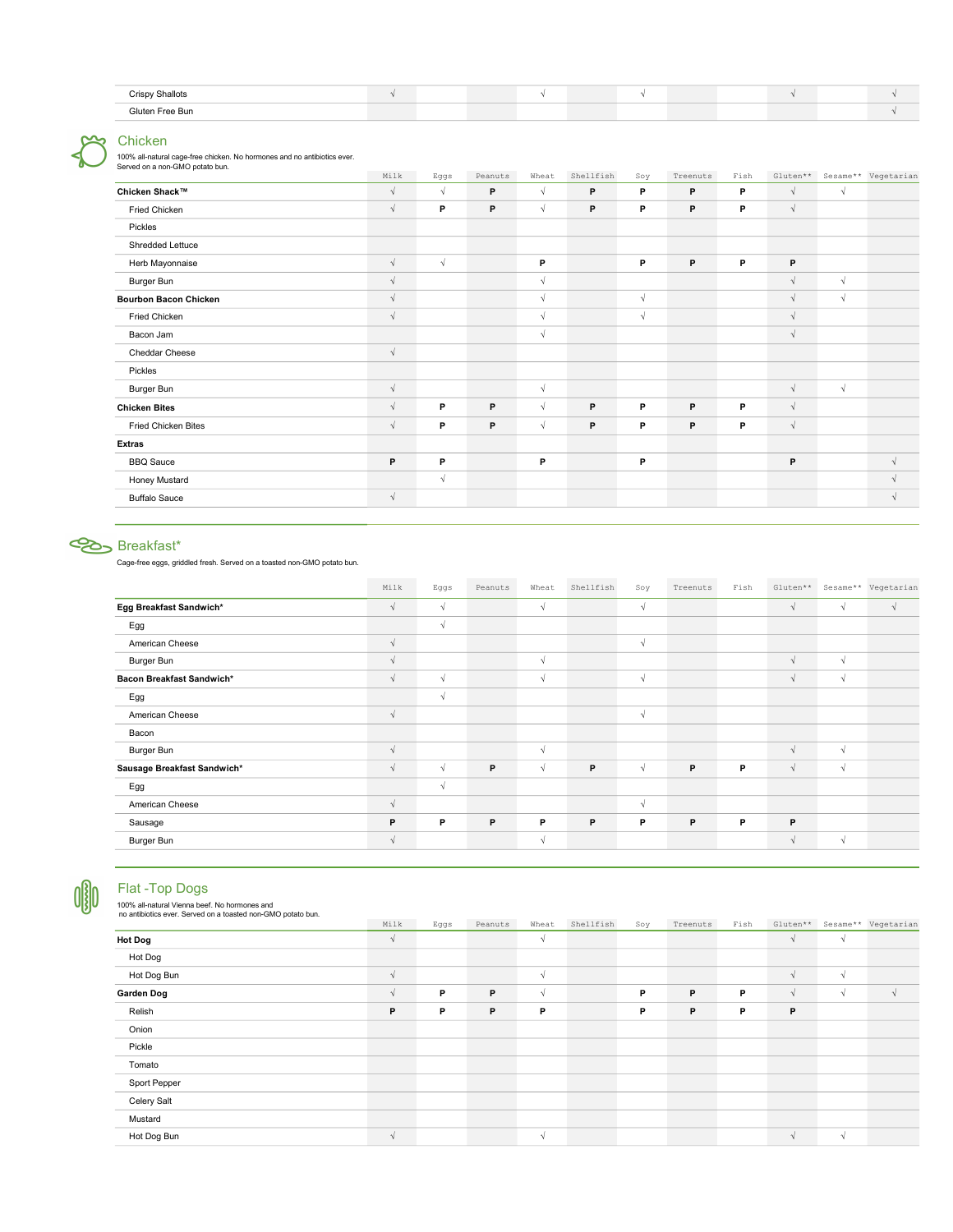| <b>Crispy Shallots</b><br>◡<br>. |  |  |  |  |  |  |
|----------------------------------|--|--|--|--|--|--|
| Gluten Free Bun                  |  |  |  |  |  |  |

# Chicken

100% all-natural cage-free chicken. No hormones and no antibiotics ever. Served on a non-GMO potato bun.

| Milk       |            | Peanuts | Wheat      | Shellfish   | Soy        | Treenuts | Fish |            |            | Sesame** Vegetarian |
|------------|------------|---------|------------|-------------|------------|----------|------|------------|------------|---------------------|
| $\sqrt{ }$ | $\sqrt{ }$ | P       | $\sqrt{ }$ | P           | P          | P        | P    | $\sqrt{ }$ | $\sqrt{ }$ |                     |
| $\sqrt{ }$ | P          | P       | $\sqrt{ }$ | P           | P          | P        | P    | $\sqrt{ }$ |            |                     |
|            |            |         |            |             |            |          |      |            |            |                     |
|            |            |         |            |             |            |          |      |            |            |                     |
| $\sqrt{ }$ | $\sqrt{ }$ |         | P          |             | P          | P        | P    | P          |            |                     |
| $\sqrt{ }$ |            |         | $\sqrt{ }$ |             |            |          |      | $\sqrt{ }$ | $\sqrt{ }$ |                     |
| $\sqrt{ }$ |            |         | $\sqrt{}$  |             | $\sqrt{ }$ |          |      | $\sqrt{ }$ | $\sqrt{ }$ |                     |
| $\sqrt{ }$ |            |         | $\sqrt{ }$ |             | $\sqrt{ }$ |          |      | $\sqrt{ }$ |            |                     |
|            |            |         | $\sqrt{ }$ |             |            |          |      | $\sqrt{ }$ |            |                     |
| $\sqrt{ }$ |            |         |            |             |            |          |      |            |            |                     |
|            |            |         |            |             |            |          |      |            |            |                     |
| $\sqrt{ }$ |            |         | $\sqrt{ }$ |             |            |          |      | $\sqrt{ }$ | $\sqrt{ }$ |                     |
| $\sqrt{ }$ | P          | P       | $\sqrt{ }$ | P           | P          | P        | P    | $\sqrt{ }$ |            |                     |
| $\sqrt{ }$ | P          | P       | $\sqrt{ }$ | $\mathsf P$ | P          | P        | P    | $\sqrt{ }$ |            |                     |
|            |            |         |            |             |            |          |      |            |            |                     |
| P          | P          |         | P          |             | P          |          |      | P          |            | $\sqrt{ }$          |
|            | $\sqrt{ }$ |         |            |             |            |          |      |            |            | $\sqrt{ }$          |
| $\sqrt{ }$ |            |         |            |             |            |          |      |            |            | $\sqrt{ }$          |
|            |            | Eggs    |            |             |            |          |      |            |            | $Gluten**$          |

# Breakfast\*

Cage-free eggs, griddled fresh. Served on a toasted non-GMO potato bun.

|                             | Milk       | Eggs       | Peanuts | Wheat      | Shellfish | Soy        | Treenuts | Fish |            |            | Gluten** Sesame** Vegetarian |
|-----------------------------|------------|------------|---------|------------|-----------|------------|----------|------|------------|------------|------------------------------|
| Egg Breakfast Sandwich*     | V          | $\sqrt{ }$ |         | $\sqrt{ }$ |           | $\sqrt{ }$ |          |      | $\sqrt{ }$ | $\sqrt{ }$ | $\sqrt{ }$                   |
| Egg                         |            | $\sqrt{ }$ |         |            |           |            |          |      |            |            |                              |
| American Cheese             | V          |            |         |            |           | V          |          |      |            |            |                              |
| Burger Bun                  | $\sqrt{ }$ |            |         | $\sqrt{ }$ |           |            |          |      | $\sqrt{ }$ | $\sqrt{ }$ |                              |
| Bacon Breakfast Sandwich*   | $\sqrt{ }$ | $\sqrt{ }$ |         | $\sqrt{ }$ |           | $\sqrt{ }$ |          |      | $\sqrt{ }$ | $\sqrt{ }$ |                              |
| Egg                         |            | $\sqrt{ }$ |         |            |           |            |          |      |            |            |                              |
| American Cheese             | $\sqrt{ }$ |            |         |            |           | $\sqrt{ }$ |          |      |            |            |                              |
| Bacon                       |            |            |         |            |           |            |          |      |            |            |                              |
| Burger Bun                  | $\sqrt{ }$ |            |         | $\sqrt{ }$ |           |            |          |      | $\sqrt{ }$ | $\sqrt{ }$ |                              |
| Sausage Breakfast Sandwich* | $\sqrt{ }$ | $\sqrt{ }$ | P       | $\sqrt{ }$ | P         | $\sqrt{ }$ | P        | P    | $\sqrt{ }$ | $\sqrt{ }$ |                              |
| Egg                         |            | $\sqrt{ }$ |         |            |           |            |          |      |            |            |                              |
| American Cheese             | $\sqrt{ }$ |            |         |            |           | $\sqrt{ }$ |          |      |            |            |                              |
| Sausage                     | P          | P          | P       | P          | P         | P          | P        | P    | P          |            |                              |
| Burger Bun                  | V          |            |         | $\sqrt{ }$ |           |            |          |      | V          | $\sqrt{ }$ |                              |
|                             |            |            |         |            |           |            |          |      |            |            |                              |



#### Flat -Top Dogs

100% all-natural Vienna beef. No hormones and no antibiotics ever. Served on a toasted non-GMO potato bun.

| no antibiotics ever. Served on a toasted non-GMO potato bun. |            |      |         |            |           |     |          |      |            |            |                     |
|--------------------------------------------------------------|------------|------|---------|------------|-----------|-----|----------|------|------------|------------|---------------------|
|                                                              | Milk       | Eggs | Peanuts | Wheat      | Shellfish | Soy | Treenuts | Fish | Gluten**   |            | Sesame** Vegetarian |
| <b>Hot Dog</b>                                               | $\sqrt{ }$ |      |         | $\sqrt{ }$ |           |     |          |      | $\sqrt{ }$ | $\sqrt{ }$ |                     |
| Hot Dog                                                      |            |      |         |            |           |     |          |      |            |            |                     |
| Hot Dog Bun                                                  | V          |      |         | $\sqrt{ }$ |           |     |          |      | V          | $\sqrt{ }$ |                     |
| Garden Dog                                                   | V          | P    | P       | $\sqrt{ }$ |           | P   | P        | P    | $\sqrt{ }$ | $\sqrt{ }$ | ٦I                  |
| Relish                                                       | P          | P    | P       | P          |           | P   | P        | P    | P          |            |                     |
| Onion                                                        |            |      |         |            |           |     |          |      |            |            |                     |
| Pickle                                                       |            |      |         |            |           |     |          |      |            |            |                     |
| Tomato                                                       |            |      |         |            |           |     |          |      |            |            |                     |
| Sport Pepper                                                 |            |      |         |            |           |     |          |      |            |            |                     |
| Celery Salt                                                  |            |      |         |            |           |     |          |      |            |            |                     |
| Mustard                                                      |            |      |         |            |           |     |          |      |            |            |                     |
| Hot Dog Bun                                                  | $\sqrt{ }$ |      |         | $\sqrt{ }$ |           |     |          |      |            | $\sqrt{ }$ |                     |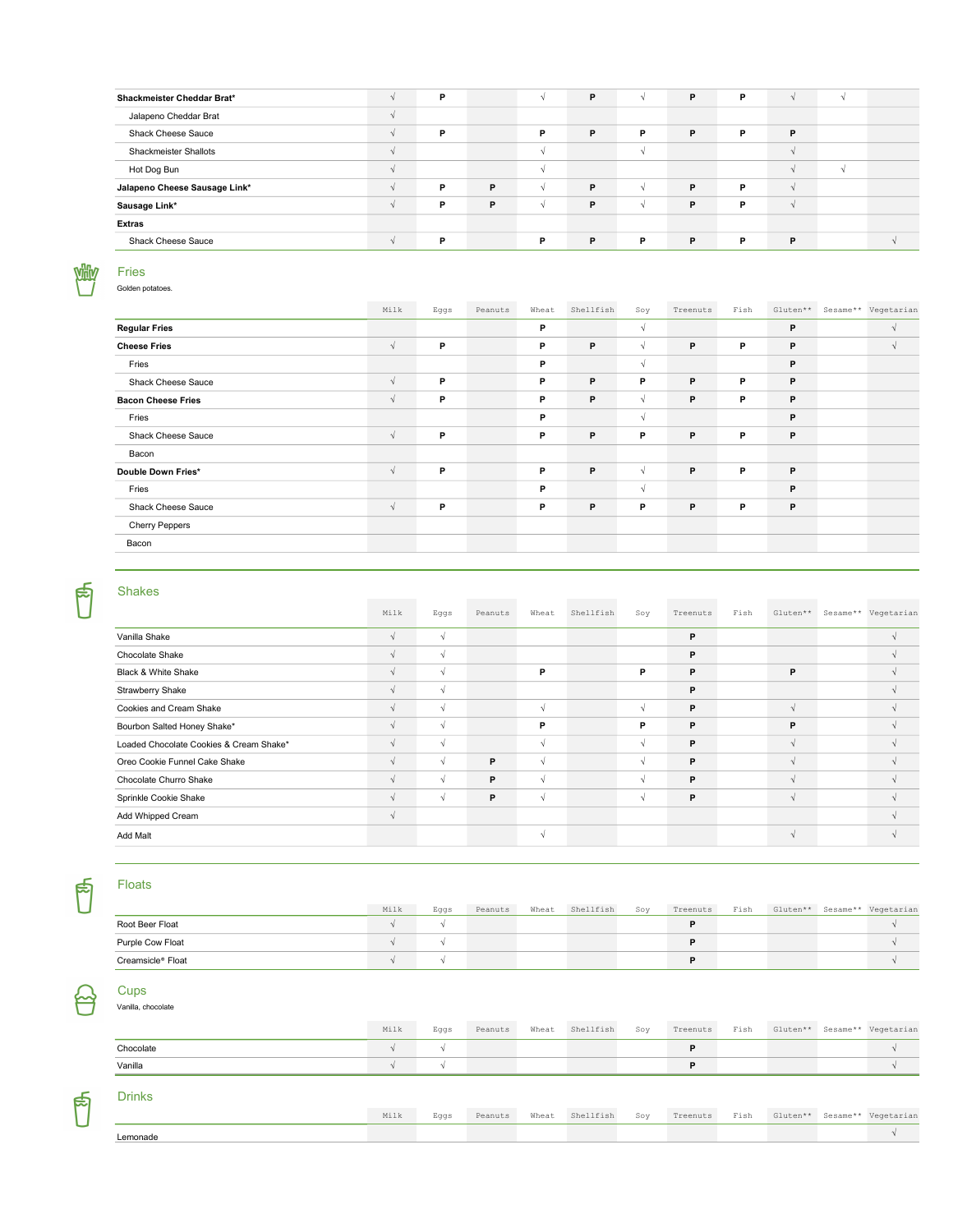| Shackmeister Cheddar Brat*    | $\Delta$ | P.       |   |   | P | V      | P | P |   |  |
|-------------------------------|----------|----------|---|---|---|--------|---|---|---|--|
| Jalapeno Cheddar Brat         | V        |          |   |   |   |        |   |   |   |  |
| Shack Cheese Sauce            | V        | P.       |   | P | P | P      | P | P | P |  |
| <b>Shackmeister Shallots</b>  | $\sim$   |          |   |   |   |        |   |   |   |  |
| Hot Dog Bun                   | $\sim$   |          |   |   |   |        |   |   |   |  |
| Jalapeno Cheese Sausage Link* | V        | P        | P |   | P | $\sim$ | P | P |   |  |
| Sausage Link*                 | V        | <b>P</b> | P |   | P |        | P | P |   |  |
| <b>Extras</b>                 |          |          |   |   |   |        |   |   |   |  |
| Shack Cheese Sauce            | N        | P        |   | P | P | P.     | P | P | P |  |

#### 凞 Fries

Golden potatoes.

|                           | Milk       | Eggs | Peanuts | Wheat | Shellfish | Soy        | Treenuts | Fish | Gluten** | Sesame** Vegetarian |
|---------------------------|------------|------|---------|-------|-----------|------------|----------|------|----------|---------------------|
| <b>Regular Fries</b>      |            |      |         | P     |           | $\sqrt{ }$ |          |      | P        | $\sqrt{ }$          |
| <b>Cheese Fries</b>       | $\sqrt{ }$ | P    |         | P     | P         | $\sqrt{ }$ | P        | P    | P        |                     |
| Fries                     |            |      |         | P     |           | √          |          |      | P        |                     |
| Shack Cheese Sauce        | $\sqrt{ }$ | P.   |         | P     | P         | P          | P        | P.   | P        |                     |
| <b>Bacon Cheese Fries</b> | $\sqrt{ }$ | P    |         | P     | P         | $\sqrt{ }$ | P        | P    | P        |                     |
| Fries                     |            |      |         | P     |           | √          |          |      | P        |                     |
| Shack Cheese Sauce        | $\sqrt{ }$ | P    |         | P     | P         | P          | P        | P    | P        |                     |
| Bacon                     |            |      |         |       |           |            |          |      |          |                     |
| Double Down Fries*        | $\sqrt{ }$ | P    |         | P     | P         | $\sqrt{ }$ | P        | P    | P        |                     |
| Fries                     |            |      |         | P     |           | $\sqrt{ }$ |          |      | P        |                     |
| Shack Cheese Sauce        | $\sqrt{ }$ | P    |         | P     | P         | P          | P        | P    | P        |                     |
| <b>Cherry Peppers</b>     |            |      |         |       |           |            |          |      |          |                     |
| Bacon                     |            |      |         |       |           |            |          |      |          |                     |
|                           |            |      |         |       |           |            |          |      |          |                     |

# 同

Shakes

|                                         | Milk       | Eggs       | Peanuts | Wheat      | Shellfish | Soy        | Treenuts | Fish | Gluten**      | Sesame** Vegetarian |
|-----------------------------------------|------------|------------|---------|------------|-----------|------------|----------|------|---------------|---------------------|
| Vanilla Shake                           | $\sqrt{ }$ | $\sqrt{ }$ |         |            |           |            | P        |      |               |                     |
| Chocolate Shake                         |            | $\sqrt{ }$ |         |            |           |            | P        |      |               |                     |
| Black & White Shake                     | $\Delta$   | $\sim$     |         | P          |           | P          | P        |      | P             |                     |
| Strawberry Shake                        | N          | $\sqrt{ }$ |         |            |           |            | P        |      |               |                     |
| Cookies and Cream Shake                 |            | $\sqrt{ }$ |         | $\sqrt{ }$ |           | $\sqrt{ }$ | P        |      | $\mathcal{N}$ |                     |
| Bourbon Salted Honey Shake*             |            | $\sim$     |         | P          |           | P          | P        |      | P             |                     |
| Loaded Chocolate Cookies & Cream Shake* | $\sqrt{ }$ | $\sqrt{ }$ |         | N          |           | N          | P        |      |               |                     |
| Oreo Cookie Funnel Cake Shake           | 1.         | $\sqrt{ }$ | P.      | $\sqrt{ }$ |           | N          | P        |      |               |                     |
| Chocolate Churro Shake                  |            | $\sim$     | P       | $\sim$     |           |            | P        |      |               |                     |
| Sprinkle Cookie Shake                   |            | $\sqrt{ }$ | P       | $\sqrt{ }$ |           | N          | P        |      | $\sqrt{ }$    |                     |
| Add Whipped Cream                       | V          |            |         |            |           |            |          |      |               |                     |
| Add Malt                                |            |            |         | $\sqrt{ }$ |           |            |          |      |               |                     |

# Floats

ြို

<u>سم</u>

ြို

|                   | Milk | Eqqs | Peanuts | Wheat | Shellfish | Soy | Treenuts | Fish | Gluten** | Sesame** Vegetarian |
|-------------------|------|------|---------|-------|-----------|-----|----------|------|----------|---------------------|
| Root Beer Float   |      |      |         |       |           |     |          |      |          |                     |
| Purple Cow Float  |      |      |         |       |           |     |          |      |          |                     |
| Creamsicle® Float |      |      |         |       |           |     |          |      |          |                     |

#### Cups Vanilla, chocolate

Milk Eggs Peanuts Wheat Shellfish Soy Treenuts Fish Gluten\*\* Sesame\*\* Vegetarian Chocolate  $\sqrt{\phantom{a}}$ Vanilla √ √ P √

### Drinks

|          | Milk | Eaas | Peanuts | Wheat Shellfish | Sov |  |  | Treenuts Fish Gluten** Sesame** Vegetarian |
|----------|------|------|---------|-----------------|-----|--|--|--------------------------------------------|
| Lemonade |      |      |         |                 |     |  |  |                                            |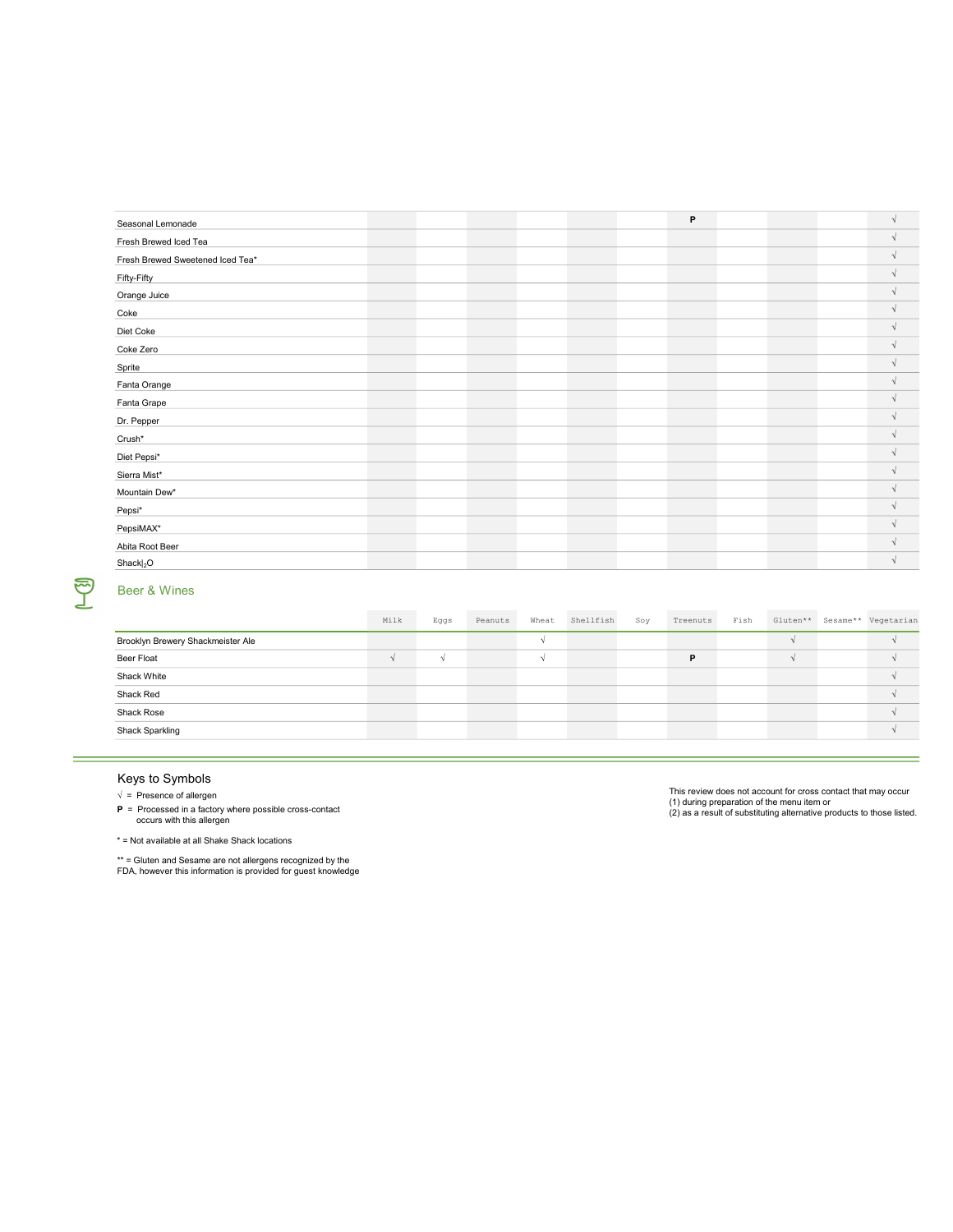|  |  |  | P |  | $\sqrt{ }$ |
|--|--|--|---|--|------------|
|  |  |  |   |  | $\sqrt{ }$ |
|  |  |  |   |  | $\Delta$   |
|  |  |  |   |  |            |
|  |  |  |   |  | $\sim$     |
|  |  |  |   |  | $\sqrt{ }$ |
|  |  |  |   |  | $\sim$     |
|  |  |  |   |  | $\sqrt{ }$ |
|  |  |  |   |  | $\sqrt{ }$ |
|  |  |  |   |  | $\Delta$   |
|  |  |  |   |  |            |
|  |  |  |   |  |            |
|  |  |  |   |  | $\sqrt{ }$ |
|  |  |  |   |  | $\Delta$   |
|  |  |  |   |  | $\sqrt{ }$ |
|  |  |  |   |  | $\sqrt{ }$ |
|  |  |  |   |  | $\sim$     |
|  |  |  |   |  |            |
|  |  |  |   |  |            |
|  |  |  |   |  |            |
|  |  |  |   |  |            |

# T

÷

# Beer & Wines

|                                   | Milk | Eggs | Peanuts | Wheat | Shellfish | Soy | Treenuts | Fish |  | Gluten** Sesame** Vegetarian |
|-----------------------------------|------|------|---------|-------|-----------|-----|----------|------|--|------------------------------|
| Brooklyn Brewery Shackmeister Ale |      |      |         |       |           |     |          |      |  |                              |
| Beer Float                        |      |      |         |       |           |     | P        |      |  |                              |
| Shack White                       |      |      |         |       |           |     |          |      |  |                              |
| Shack Red                         |      |      |         |       |           |     |          |      |  |                              |
| Shack Rose                        |      |      |         |       |           |     |          |      |  |                              |
| Shack Sparkling                   |      |      |         |       |           |     |          |      |  |                              |

# Keys to Symbols

 $\sqrt{\frac{1}{1}}$  Presence of allergen

P = Processed in a factory where possible cross-contact occurs with this allergen

 $*$  = Not available at all Shake Shack locations

\*\* = Gluten and Sesame are not allergens recognized by the FDA, however this information is provided for guest knowledge

This review does not account for cross contact that may occur (1) during preparation of the menu item or (2) as a result of substituting alternative products to those listed.